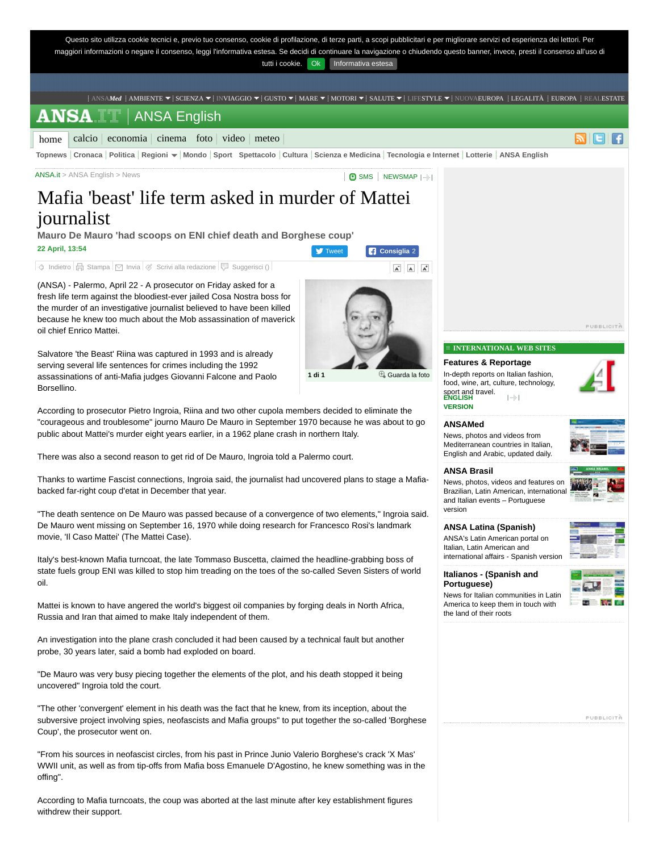

Salvatore 'the Beast' Riina was captured in 1993 and is already serving several life sentences for crimes including the 1992 assassinations of anti-Mafia judges Giovanni Falcone and Paolo Borsellino.

According to prosecutor Pietro Ingroia, Riina and two other cupola members decided to eliminate the "courageous and troublesome" journo Mauro De Mauro in September 1970 because he was about to go public about Mattei's murder eight years earlier, in a 1962 plane crash in northern Italy.

There was also a second reason to get rid of De Mauro, Ingroia told a Palermo court.

Thanks to wartime Fascist connections, Ingroia said, the journalist had uncovered plans to stage a Mafiabacked far-right coup d'etat in December that year.

"The death sentence on De Mauro was passed because of a convergence of two elements," Ingroia said. De Mauro went missing on September 16, 1970 while doing research for Francesco Rosi's landmark movie, 'Il Caso Mattei' (The Mattei Case).

Italy's best-known Mafia turncoat, the late Tommaso Buscetta, claimed the headline-grabbing boss of state fuels group ENI was killed to stop him treading on the toes of the so-called Seven Sisters of world oil.

Mattei is known to have angered the world's biggest oil companies by forging deals in North Africa, Russia and Iran that aimed to make Italy independent of them.

An investigation into the plane crash concluded it had been caused by a technical fault but another probe, 30 years later, said a bomb had exploded on board.

"De Mauro was very busy piecing together the elements of the plot, and his death stopped it being uncovered" Ingroia told the court.

"The other 'convergent' element in his death was the fact that he knew, from its inception, about the subversive project involving spies, neofascists and Mafia groups" to put together the so-called 'Borghese Coup', the prosecutor went on.

"From his sources in neofascist circles, from his past in Prince Junio Valerio Borghese's crack 'X Mas' WWII unit, as well as from tip-offs from Mafia boss Emanuele D'Agostino, he knew something was in the offing".

According to Mafia turncoats, the coup was aborted at the last minute after key establishment figures withdrew their support.

**INTERNATIONAL WEB SITES**

#### **Features & Reportage**

In-depth reports on Italian fashion, food, wine, art, culture, technology,  $\left| \ldots \right|$ 





# **[ANSAMed](http://ansamed.ansa.it/en/)**

News, photos and videos from Mediterranean countries in Italian, English and Arabic, updated daily.

#### **[ANSA Brasil](http://ansabrasil.com.br/)**

News, photos, videos and features on Brazilian, Latin American, international and Italian events – Portuguese version

**[ANSA Latina \(Spanish\)](http://www.ansa.it/ansalatina/index.shtml)** ANSA's Latin American portal on Italian, Latin American and international affairs - Spanish version



**[Italianos - \(Spanish and](http://www.italianos.it/2008/default.aspx) Portuguese)**

News for Italian communities in Latin America to keep them in touch with the land of their roots